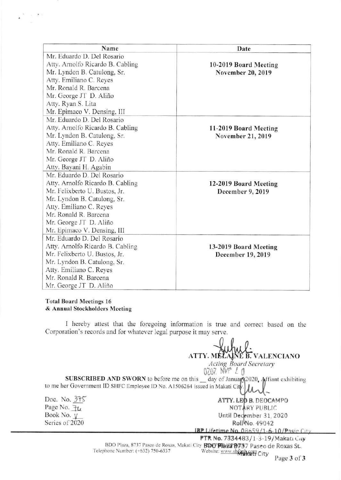| Name                             | Date                  |
|----------------------------------|-----------------------|
| Mr. Eduardo D. Del Rosario       |                       |
| Atty. Arnolfo Ricardo B. Cabling | 10-2019 Board Meeting |
| Mr. Lyndon B. Catulong, Sr.      | November 20, 2019     |
| Atty. Emiliano C. Reyes          |                       |
| Mr. Ronald R. Barcena            |                       |
| Mr. George JT D. Aliño           |                       |
| Atty. Ryan S. Lita               |                       |
| Mr. Epimaco V. Densing, III      |                       |
| Mr. Eduardo D. Del Rosario       |                       |
| Atty. Arnolfo Ricardo B. Cabling | 11-2019 Board Meeting |
| Mr. Lyndon B. Catulong, Sr.      | November 21, 2019     |
| Atty. Emiliano C. Reyes          |                       |
| Mr. Ronald R. Barcena            |                       |
| Mr. George JT D. Aliño           |                       |
| Atty. Bayani H. Agabin           |                       |
| Mr. Eduardo D. Del Rosario       |                       |
| Atty. Arnolfo Ricardo B. Cabling | 12-2019 Board Meeting |
| Mr. Felixberto U. Bustos, Jr.    | December 9, 2019      |
| Mr. Lyndon B. Catulong, Sr.      |                       |
| Atty. Emiliano C. Reves          |                       |
| Mr. Ronald R. Barcena            |                       |
| Mr. George JT D. Aliño           |                       |
| Mr. Epimaco V. Densing, III      |                       |
| Mr. Eduardo D. Del Rosario       |                       |
| Atty. Arnolfo Ricardo B. Cabling | 13-2019 Board Meeting |
| Mr. Felixberto U. Bustos, Jr.    | December 19, 2019     |
| Mr. Lyndon B. Catulong, Sr.      |                       |
| Atty. Emiliano C. Reyes          |                       |
| Mr. Ronald R. Barcena            |                       |
| Mr. George JT D. Aliño           |                       |

## Total Board Meetings 16 & Annual Stockholders Meeting

I hereby attest that the foregoing information is true and correct based on the Corporation's records and for whatever legal purpose it may serve.

ATTY. MELAINE B. VALENCIANO Acting Board Secretary 0207. Norr 20 SUBSCRIBED AND SWORN to before me on this \_ day of January 2020. Affiant exhibiting to me her Government ID SHFC Employee ID No. A1506264 issued in Makati City Doc. No. 375 Page No. 74 Book No.  $\underline{\vee}$ Series of 2020 ATTY. LEO B. DEOCAMPO NOTARY PUBLIC Until December 31, 2020 Roll No. 49042 **IBP Lifetime No. 08659/1-6-10/Pasis City** 

**PTR No. 7334483/1-3-19/Makati City**<br>BDO Plaza, 8737 Paseo de Roxas. Makati City **RDO Plaza B737 Paseo de Roxas St.**,<br>Telephone Number: (+632) 750-6337 Website: www.sh**foph.com** Website: www.shfoph.com City Page 3 of 3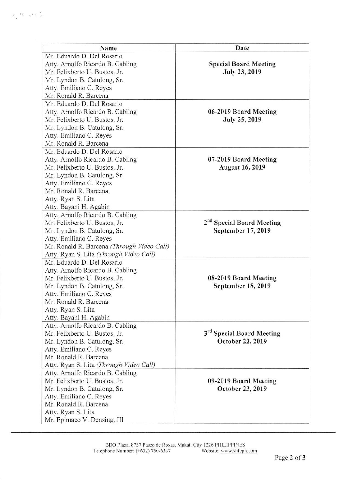| Name                                       | Date                                  |
|--------------------------------------------|---------------------------------------|
| Mr. Eduardo D. Del Rosario                 |                                       |
| Atty. Arnolfo Ricardo B. Cabling           | <b>Special Board Meeting</b>          |
| Mr. Felixberto U. Bustos, Jr.              | <b>July 23, 2019</b>                  |
| Mr. Lyndon B. Catulong, Sr.                |                                       |
| Atty. Emiliano C. Reyes                    |                                       |
| Mr. Ronald R. Barcena                      |                                       |
| Mr. Eduardo D. Del Rosario                 |                                       |
| Atty. Arnolfo Ricardo B. Cabling           | 06-2019 Board Meeting                 |
| Mr. Felixberto U. Bustos, Jr.              | <b>July 25, 2019</b>                  |
| Mr. Lyndon B. Catulong, Sr.                |                                       |
| Atty. Emiliano C. Reyes                    |                                       |
| Mr. Ronald R. Barcena                      |                                       |
| Mr. Eduardo D. Del Rosario                 |                                       |
| Atty. Arnolfo Ricardo B. Cabling           | 07-2019 Board Meeting                 |
| Mr. Felixberto U. Bustos, Jr.              | <b>August 16, 2019</b>                |
| Mr. Lyndon B. Catulong, Sr.                |                                       |
| Atty. Emiliano C. Reyes                    |                                       |
| Mr. Ronald R. Barcena                      |                                       |
| Atty. Ryan S. Lita                         |                                       |
| Atty. Bayani H. Agabin                     |                                       |
| Atty. Arnolfo Ricardo B. Cabling           |                                       |
| Mr. Felixberto U. Bustos, Jr.              | 2 <sup>nd</sup> Special Board Meeting |
| Mr. Lyndon B. Catulong, Sr.                | September 17, 2019                    |
| Atty. Emiliano C. Reyes                    |                                       |
| Mr. Ronald R. Barcena (Through Video Call) |                                       |
| Atty. Ryan S. Lita (Through Video Call)    |                                       |
| Mr. Eduardo D. Del Rosario                 |                                       |
| Atty. Arnolfo Ricardo B. Cabling           |                                       |
| Mr. Felixberto U. Bustos, Jr.              | 08-2019 Board Meeting                 |
| Mr. Lyndon B. Catulong, Sr.                | September 18, 2019                    |
| Atty. Emiliano C. Reyes                    |                                       |
| Mr. Ronald R. Barcena                      |                                       |
| Atty. Ryan S. Lita                         |                                       |
| Atty. Bayani H. Agabin                     |                                       |
| Atty. Arnolfo Ricardo B. Cabling           |                                       |
| Mr. Felixberto U. Bustos, Jr.              | 3rd Special Board Meeting             |
| Mr. Lyndon B. Catulong, Sr.                | October 22, 2019                      |
| Atty. Emiliano C. Reyes                    |                                       |
| Mr. Ronald R. Barcena                      |                                       |
| Atty. Ryan S. Lita (Through Video Call)    |                                       |
| Atty. Arnolfo Ricardo B. Cabling           |                                       |
| Mr. Felixberto U. Bustos, Jr.              | 09-2019 Board Meeting                 |
| Mr. Lyndon B. Catulong, Sr.                | October 23, 2019                      |
| Atty. Emiliano C. Reyes                    |                                       |
| Mr. Ronald R. Barcena                      |                                       |
| Atty. Ryan S. Lita                         |                                       |
| Mr. Epimaco V. Densing, III                |                                       |

 $\label{eq:10} \mathcal{F} = \frac{m_{\text{max}}}{\sqrt{2}} \left( \frac{1}{2} \mathcal{F} \right)^2 \frac{1}{\sqrt{2}}.$